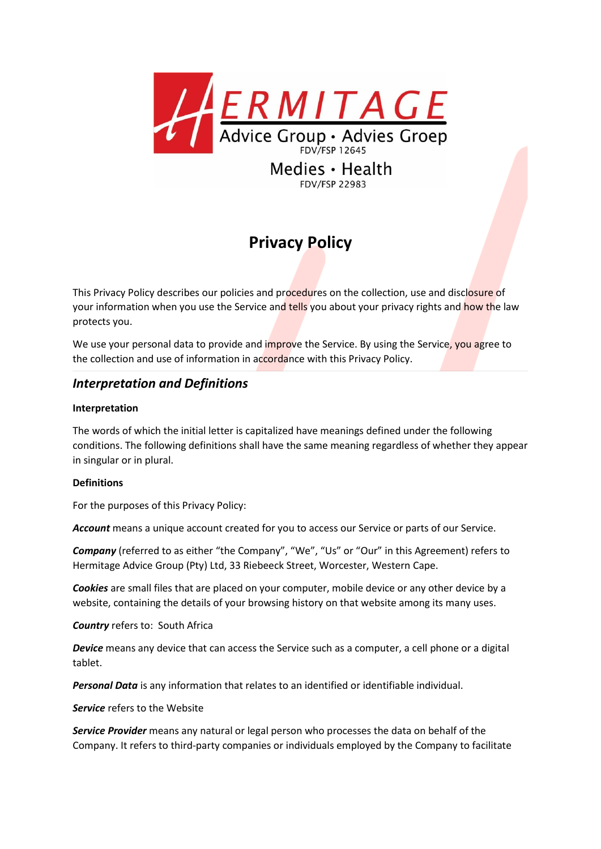

Medies · Health **FDV/FSP 22983** 

# **Privacy Policy**

This Privacy Policy describes our policies and procedures on the collection, use and disclosure of your information when you use the Service and tells you about your privacy rights and how the law protects you.

We use your personal data to provide and improve the Service. By using the Service, you agree to the collection and use of information in accordance with this Privacy Policy.

### *Interpretation and Definitions*

### **Interpretation**

The words of which the initial letter is capitalized have meanings defined under the following conditions. The following definitions shall have the same meaning regardless of whether they appear in singular or in plural.

#### **Definitions**

For the purposes of this Privacy Policy:

Account means a unique account created for you to access our Service or parts of our Service.

**Company** (referred to as either "the Company", "We", "Us" or "Our" in this Agreement) refers to Hermitage Advice Group (Pty) Ltd, 33 Riebeeck Street, Worcester, Western Cape.

*Cookies* are small files that are placed on your computer, mobile device or any other device by a website, containing the details of your browsing history on that website among its many uses.

*Country* refers to: South Africa

*Device* means any device that can access the Service such as a computer, a cell phone or a digital tablet.

*Personal Data* is any information that relates to an identified or identifiable individual.

*Service* refers to the Website

*Service Provider* means any natural or legal person who processes the data on behalf of the Company. It refers to third-party companies or individuals employed by the Company to facilitate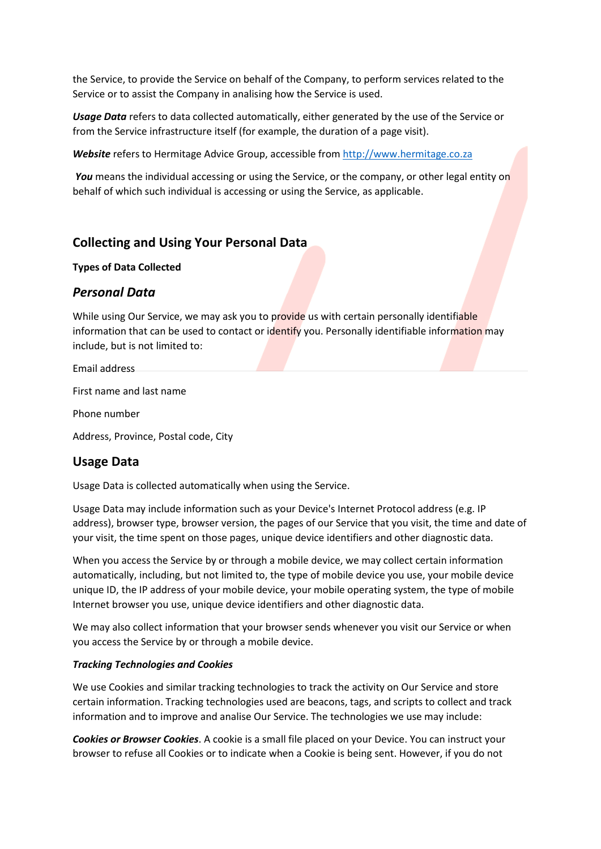the Service, to provide the Service on behalf of the Company, to perform services related to the Service or to assist the Company in analising how the Service is used.

*Usage Data* refers to data collected automatically, either generated by the use of the Service or from the Service infrastructure itself (for example, the duration of a page visit).

*Website* refers to Hermitage Advice Group, accessible fro[m http://www.hermitage.co.za](http://www.hermitage.co.za/)

You means the individual accessing or using the Service, or the company, or other legal entity on behalf of which such individual is accessing or using the Service, as applicable.

# **Collecting and Using Your Personal Data**

### **Types of Data Collected**

### *Personal Data*

While using Our Service, we may ask you to provide us with certain personally identifiable information that can be used to contact or identify you. Personally identifiable information may include, but is not limited to:

Email address

First name and last name

Phone number

Address, Province, Postal code, City

### **Usage Data**

Usage Data is collected automatically when using the Service.

Usage Data may include information such as your Device's Internet Protocol address (e.g. IP address), browser type, browser version, the pages of our Service that you visit, the time and date of your visit, the time spent on those pages, unique device identifiers and other diagnostic data.

When you access the Service by or through a mobile device, we may collect certain information automatically, including, but not limited to, the type of mobile device you use, your mobile device unique ID, the IP address of your mobile device, your mobile operating system, the type of mobile Internet browser you use, unique device identifiers and other diagnostic data.

We may also collect information that your browser sends whenever you visit our Service or when you access the Service by or through a mobile device.

### *Tracking Technologies and Cookies*

We use Cookies and similar tracking technologies to track the activity on Our Service and store certain information. Tracking technologies used are beacons, tags, and scripts to collect and track information and to improve and analise Our Service. The technologies we use may include:

*Cookies or Browser Cookies*. A cookie is a small file placed on your Device. You can instruct your browser to refuse all Cookies or to indicate when a Cookie is being sent. However, if you do not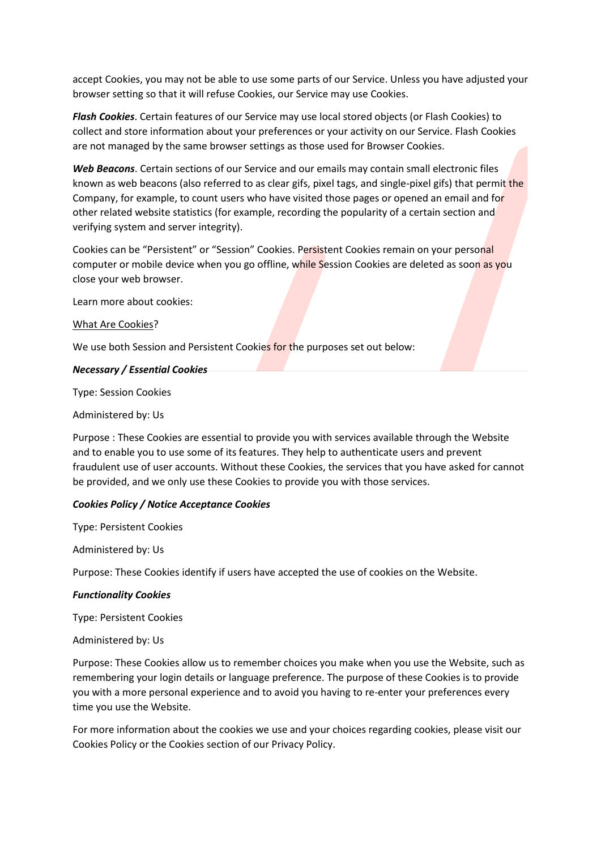accept Cookies, you may not be able to use some parts of our Service. Unless you have adjusted your browser setting so that it will refuse Cookies, our Service may use Cookies.

*Flash Cookies*. Certain features of our Service may use local stored objects (or Flash Cookies) to collect and store information about your preferences or your activity on our Service. Flash Cookies are not managed by the same browser settings as those used for Browser Cookies.

*Web Beacons*. Certain sections of our Service and our emails may contain small electronic files known as web beacons (also referred to as clear gifs, pixel tags, and single-pixel gifs) that permit the Company, for example, to count users who have visited those pages or opened an email and for other related website statistics (for example, recording the popularity of a certain section and verifying system and server integrity).

Cookies can be "Persistent" or "Session" Cookies. Persistent Cookies remain on your personal computer or mobile device when you go offline, while Session Cookies are deleted as soon as you close your web browser.

Learn more about cookies:

#### What Are Cookies?

We use both Session and Persistent Cookies for the purposes set out below:

#### *Necessary / Essential Cookies*

Type: Session Cookies

Administered by: Us

Purpose : These Cookies are essential to provide you with services available through the Website and to enable you to use some of its features. They help to authenticate users and prevent fraudulent use of user accounts. Without these Cookies, the services that you have asked for cannot be provided, and we only use these Cookies to provide you with those services.

#### *Cookies Policy / Notice Acceptance Cookies*

Type: Persistent Cookies

Administered by: Us

Purpose: These Cookies identify if users have accepted the use of cookies on the Website.

#### *Functionality Cookies*

Type: Persistent Cookies

Administered by: Us

Purpose: These Cookies allow us to remember choices you make when you use the Website, such as remembering your login details or language preference. The purpose of these Cookies is to provide you with a more personal experience and to avoid you having to re-enter your preferences every time you use the Website.

For more information about the cookies we use and your choices regarding cookies, please visit our Cookies Policy or the Cookies section of our Privacy Policy.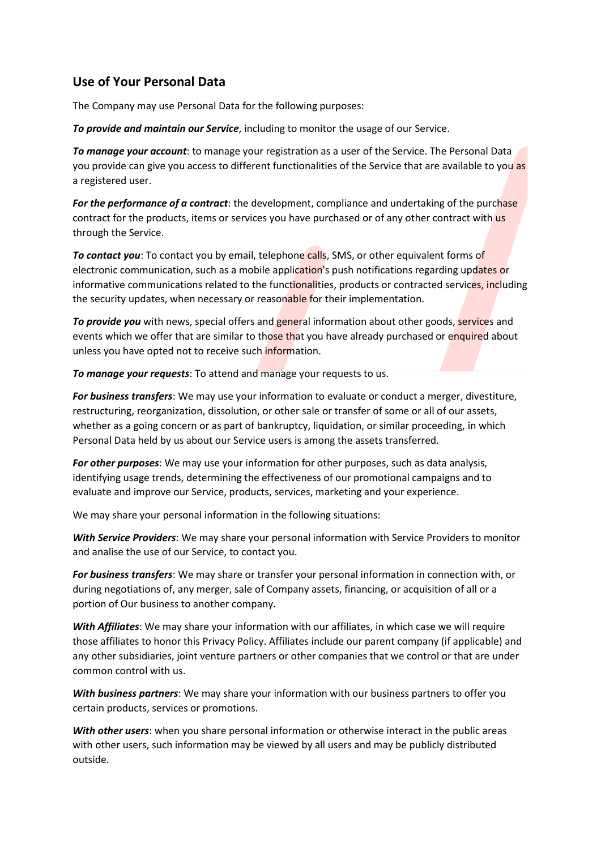# **Use of Your Personal Data**

The Company may use Personal Data for the following purposes:

*To provide and maintain our Service*, including to monitor the usage of our Service.

*To manage your account*: to manage your registration as a user of the Service. The Personal Data you provide can give you access to different functionalities of the Service that are available to you as a registered user.

*For the performance of a contract*: the development, compliance and undertaking of the purchase contract for the products, items or services you have purchased or of any other contract with us through the Service.

**To contact you**: To contact you by email, telephone calls, SMS, or other equivalent forms of electronic communication, such as a mobile application's push notifications regarding updates or informative communications related to the functionalities, products or contracted services, including the security updates, when necessary or reasonable for their implementation.

**To provide you** with news, special offers and **general** information about other goods, services and events which we offer that are similar to those that you have already purchased or enquired about unless you have opted not to receive such information.

*To manage your requests*: To attend and manage your requests to us.

*For business transfers*: We may use your information to evaluate or conduct a merger, divestiture, restructuring, reorganization, dissolution, or other sale or transfer of some or all of our assets, whether as a going concern or as part of bankruptcy, liquidation, or similar proceeding, in which Personal Data held by us about our Service users is among the assets transferred.

*For other purposes*: We may use your information for other purposes, such as data analysis, identifying usage trends, determining the effectiveness of our promotional campaigns and to evaluate and improve our Service, products, services, marketing and your experience.

We may share your personal information in the following situations:

*With Service Providers*: We may share your personal information with Service Providers to monitor and analise the use of our Service, to contact you.

*For business transfers*: We may share or transfer your personal information in connection with, or during negotiations of, any merger, sale of Company assets, financing, or acquisition of all or a portion of Our business to another company.

*With Affiliates*: We may share your information with our affiliates, in which case we will require those affiliates to honor this Privacy Policy. Affiliates include our parent company (if applicable) and any other subsidiaries, joint venture partners or other companies that we control or that are under common control with us.

*With business partners*: We may share your information with our business partners to offer you certain products, services or promotions.

*With other users*: when you share personal information or otherwise interact in the public areas with other users, such information may be viewed by all users and may be publicly distributed outside.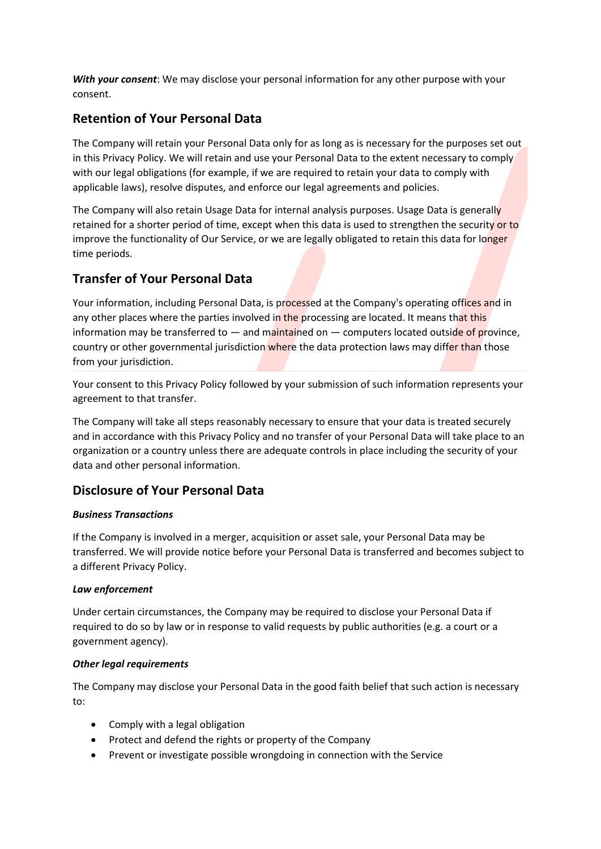*With your consent*: We may disclose your personal information for any other purpose with your consent.

### **Retention of Your Personal Data**

The Company will retain your Personal Data only for as long as is necessary for the purposes set out in this Privacy Policy. We will retain and use your Personal Data to the extent necessary to comply with our legal obligations (for example, if we are required to retain your data to comply with applicable laws), resolve disputes, and enforce our legal agreements and policies.

The Company will also retain Usage Data for internal analysis purposes. Usage Data is generally retained for a shorter period of time, except when this data is used to strengthen the security or to improve the functionality of Our Service, or we are legally obligated to retain this data for longer time periods.

# **Transfer of Your Personal Data**

Your information, including Personal Data, is processed at the Company's operating offices and in any other places where the parties involved in the processing are located. It means that this information may be transferred to  $-$  and maintained on  $-$  computers located outside of province, country or other governmental jurisdiction where the data protection laws may differ than those from your jurisdiction.

Your consent to this Privacy Policy followed by your submission of such information represents your agreement to that transfer.

The Company will take all steps reasonably necessary to ensure that your data is treated securely and in accordance with this Privacy Policy and no transfer of your Personal Data will take place to an organization or a country unless there are adequate controls in place including the security of your data and other personal information.

### **Disclosure of Your Personal Data**

### *Business Transactions*

If the Company is involved in a merger, acquisition or asset sale, your Personal Data may be transferred. We will provide notice before your Personal Data is transferred and becomes subject to a different Privacy Policy.

### *Law enforcement*

Under certain circumstances, the Company may be required to disclose your Personal Data if required to do so by law or in response to valid requests by public authorities (e.g. a court or a government agency).

### *Other legal requirements*

The Company may disclose your Personal Data in the good faith belief that such action is necessary to:

- Comply with a legal obligation
- Protect and defend the rights or property of the Company
- Prevent or investigate possible wrongdoing in connection with the Service